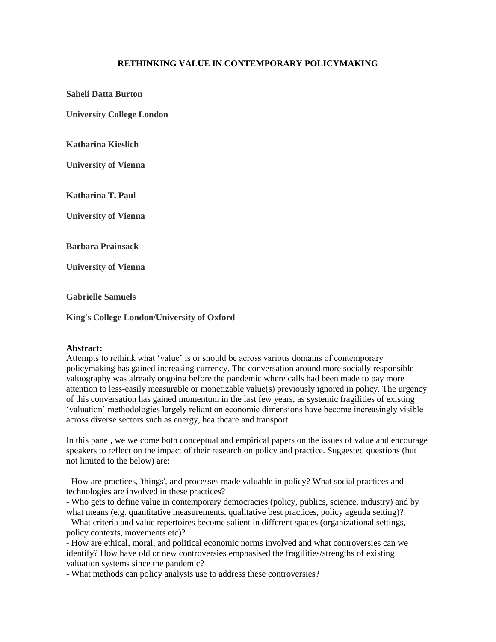## **RETHINKING VALUE IN CONTEMPORARY POLICYMAKING**

**Saheli Datta Burton**

**University College London**

**Katharina Kieslich**

**University of Vienna**

**Katharina T. Paul**

**University of Vienna**

**Barbara Prainsack**

**University of Vienna**

**Gabrielle Samuels**

**King's College London/University of Oxford**

## **Abstract:**

Attempts to rethink what 'value' is or should be across various domains of contemporary policymaking has gained increasing currency. The conversation around more socially responsible valuography was already ongoing before the pandemic where calls had been made to pay more attention to less-easily measurable or monetizable value(s) previously ignored in policy. The urgency of this conversation has gained momentum in the last few years, as systemic fragilities of existing 'valuation' methodologies largely reliant on economic dimensions have become increasingly visible across diverse sectors such as energy, healthcare and transport.

In this panel, we welcome both conceptual and empirical papers on the issues of value and encourage speakers to reflect on the impact of their research on policy and practice. Suggested questions (but not limited to the below) are:

- How are practices, 'things', and processes made valuable in policy? What social practices and technologies are involved in these practices?

- Who gets to define value in contemporary democracies (policy, publics, science, industry) and by what means (e.g. quantitative measurements, qualitative best practices, policy agenda setting)? - What criteria and value repertoires become salient in different spaces (organizational settings, policy contexts, movements etc)?

- How are ethical, moral, and political economic norms involved and what controversies can we identify? How have old or new controversies emphasised the fragilities/strengths of existing valuation systems since the pandemic?

- What methods can policy analysts use to address these controversies?